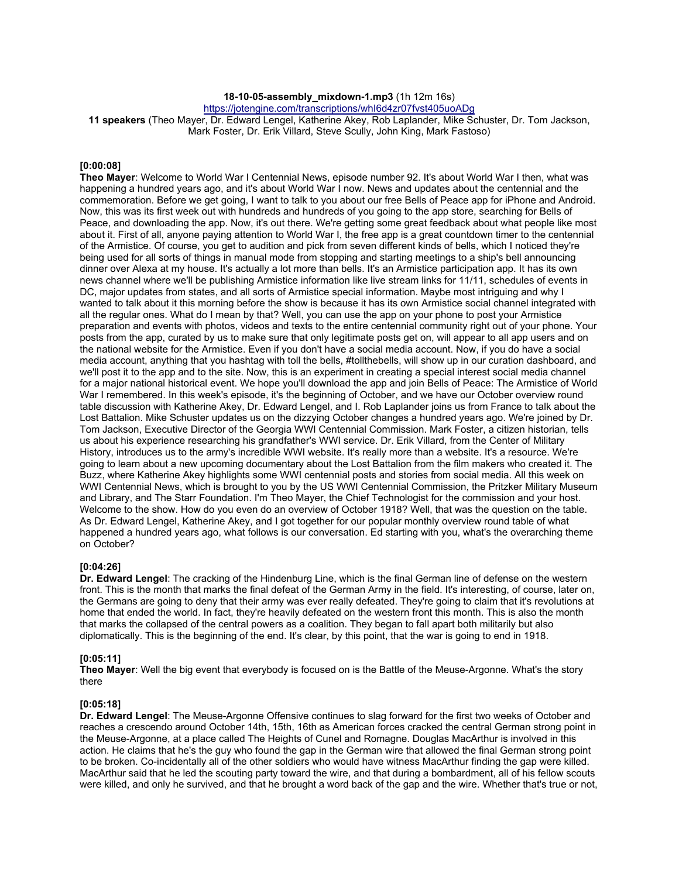# **18-10-05-assembly\_mixdown-1.mp3** (1h 12m 16s)

https://jotengine.com/transcriptions/whI6d4zr07fvst405uoADg

**11 speakers** (Theo Mayer, Dr. Edward Lengel, Katherine Akey, Rob Laplander, Mike Schuster, Dr. Tom Jackson, Mark Foster, Dr. Erik Villard, Steve Scully, John King, Mark Fastoso)

#### **[0:00:08]**

**Theo Mayer**: Welcome to World War I Centennial News, episode number 92. It's about World War I then, what was happening a hundred years ago, and it's about World War I now. News and updates about the centennial and the commemoration. Before we get going, I want to talk to you about our free Bells of Peace app for iPhone and Android. Now, this was its first week out with hundreds and hundreds of you going to the app store, searching for Bells of Peace, and downloading the app. Now, it's out there. We're getting some great feedback about what people like most about it. First of all, anyone paying attention to World War I, the free app is a great countdown timer to the centennial of the Armistice. Of course, you get to audition and pick from seven different kinds of bells, which I noticed they're being used for all sorts of things in manual mode from stopping and starting meetings to a ship's bell announcing dinner over Alexa at my house. It's actually a lot more than bells. It's an Armistice participation app. It has its own news channel where we'll be publishing Armistice information like live stream links for 11/11, schedules of events in DC, major updates from states, and all sorts of Armistice special information. Maybe most intriguing and why I wanted to talk about it this morning before the show is because it has its own Armistice social channel integrated with all the regular ones. What do I mean by that? Well, you can use the app on your phone to post your Armistice preparation and events with photos, videos and texts to the entire centennial community right out of your phone. Your posts from the app, curated by us to make sure that only legitimate posts get on, will appear to all app users and on the national website for the Armistice. Even if you don't have a social media account. Now, if you do have a social media account, anything that you hashtag with toll the bells, #tollthebells, will show up in our curation dashboard, and we'll post it to the app and to the site. Now, this is an experiment in creating a special interest social media channel for a major national historical event. We hope you'll download the app and join Bells of Peace: The Armistice of World War I remembered. In this week's episode, it's the beginning of October, and we have our October overview round table discussion with Katherine Akey, Dr. Edward Lengel, and I. Rob Laplander joins us from France to talk about the Lost Battalion. Mike Schuster updates us on the dizzying October changes a hundred years ago. We're joined by Dr. Tom Jackson, Executive Director of the Georgia WWI Centennial Commission. Mark Foster, a citizen historian, tells us about his experience researching his grandfather's WWI service. Dr. Erik Villard, from the Center of Military History, introduces us to the army's incredible WWI website. It's really more than a website. It's a resource. We're going to learn about a new upcoming documentary about the Lost Battalion from the film makers who created it. The Buzz, where Katherine Akey highlights some WWI centennial posts and stories from social media. All this week on WWI Centennial News, which is brought to you by the US WWI Centennial Commission, the Pritzker Military Museum and Library, and The Starr Foundation. I'm Theo Mayer, the Chief Technologist for the commission and your host. Welcome to the show. How do you even do an overview of October 1918? Well, that was the question on the table. As Dr. Edward Lengel, Katherine Akey, and I got together for our popular monthly overview round table of what happened a hundred years ago, what follows is our conversation. Ed starting with you, what's the overarching theme on October?

### **[0:04:26]**

**Dr. Edward Lengel**: The cracking of the Hindenburg Line, which is the final German line of defense on the western front. This is the month that marks the final defeat of the German Army in the field. It's interesting, of course, later on, the Germans are going to deny that their army was ever really defeated. They're going to claim that it's revolutions at home that ended the world. In fact, they're heavily defeated on the western front this month. This is also the month that marks the collapsed of the central powers as a coalition. They began to fall apart both militarily but also diplomatically. This is the beginning of the end. It's clear, by this point, that the war is going to end in 1918.

### **[0:05:11]**

**Theo Mayer**: Well the big event that everybody is focused on is the Battle of the Meuse-Argonne. What's the story there

#### **[0:05:18]**

**Dr. Edward Lengel**: The Meuse-Argonne Offensive continues to slag forward for the first two weeks of October and reaches a crescendo around October 14th, 15th, 16th as American forces cracked the central German strong point in the Meuse-Argonne, at a place called The Heights of Cunel and Romagne. Douglas MacArthur is involved in this action. He claims that he's the guy who found the gap in the German wire that allowed the final German strong point to be broken. Co-incidentally all of the other soldiers who would have witness MacArthur finding the gap were killed. MacArthur said that he led the scouting party toward the wire, and that during a bombardment, all of his fellow scouts were killed, and only he survived, and that he brought a word back of the gap and the wire. Whether that's true or not,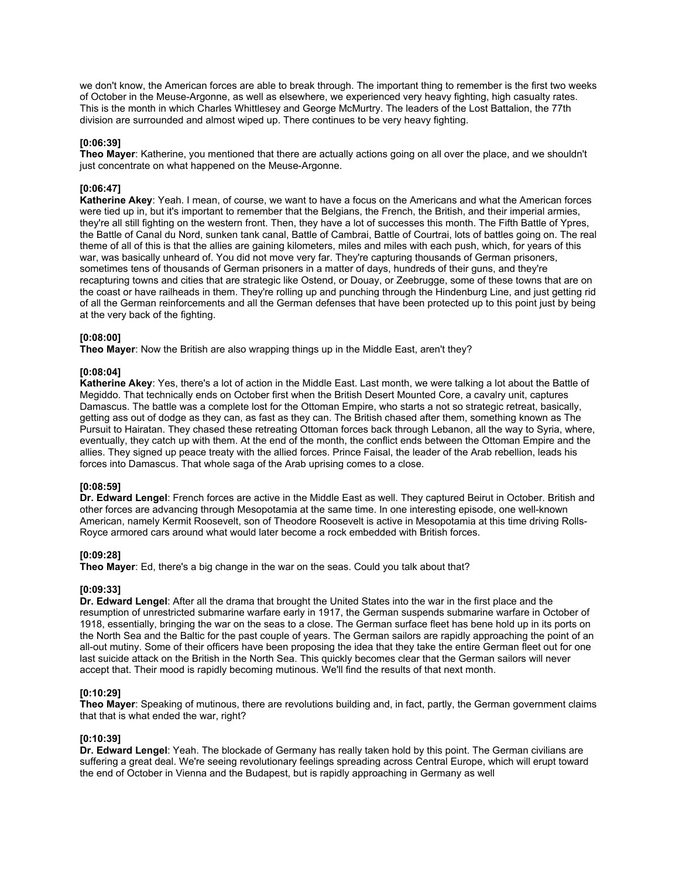we don't know, the American forces are able to break through. The important thing to remember is the first two weeks of October in the Meuse-Argonne, as well as elsewhere, we experienced very heavy fighting, high casualty rates. This is the month in which Charles Whittlesey and George McMurtry. The leaders of the Lost Battalion, the 77th division are surrounded and almost wiped up. There continues to be very heavy fighting.

### **[0:06:39]**

**Theo Mayer**: Katherine, you mentioned that there are actually actions going on all over the place, and we shouldn't just concentrate on what happened on the Meuse-Argonne.

# **[0:06:47]**

**Katherine Akey**: Yeah. I mean, of course, we want to have a focus on the Americans and what the American forces were tied up in, but it's important to remember that the Belgians, the French, the British, and their imperial armies, they're all still fighting on the western front. Then, they have a lot of successes this month. The Fifth Battle of Ypres, the Battle of Canal du Nord, sunken tank canal, Battle of Cambrai, Battle of Courtrai, lots of battles going on. The real theme of all of this is that the allies are gaining kilometers, miles and miles with each push, which, for years of this war, was basically unheard of. You did not move very far. They're capturing thousands of German prisoners, sometimes tens of thousands of German prisoners in a matter of days, hundreds of their guns, and they're recapturing towns and cities that are strategic like Ostend, or Douay, or Zeebrugge, some of these towns that are on the coast or have railheads in them. They're rolling up and punching through the Hindenburg Line, and just getting rid of all the German reinforcements and all the German defenses that have been protected up to this point just by being at the very back of the fighting.

### **[0:08:00]**

**Theo Mayer**: Now the British are also wrapping things up in the Middle East, aren't they?

### **[0:08:04]**

**Katherine Akey**: Yes, there's a lot of action in the Middle East. Last month, we were talking a lot about the Battle of Megiddo. That technically ends on October first when the British Desert Mounted Core, a cavalry unit, captures Damascus. The battle was a complete lost for the Ottoman Empire, who starts a not so strategic retreat, basically, getting ass out of dodge as they can, as fast as they can. The British chased after them, something known as The Pursuit to Hairatan. They chased these retreating Ottoman forces back through Lebanon, all the way to Syria, where, eventually, they catch up with them. At the end of the month, the conflict ends between the Ottoman Empire and the allies. They signed up peace treaty with the allied forces. Prince Faisal, the leader of the Arab rebellion, leads his forces into Damascus. That whole saga of the Arab uprising comes to a close.

### **[0:08:59]**

**Dr. Edward Lengel**: French forces are active in the Middle East as well. They captured Beirut in October. British and other forces are advancing through Mesopotamia at the same time. In one interesting episode, one well-known American, namely Kermit Roosevelt, son of Theodore Roosevelt is active in Mesopotamia at this time driving Rolls-Royce armored cars around what would later become a rock embedded with British forces.

### **[0:09:28]**

**Theo Mayer**: Ed, there's a big change in the war on the seas. Could you talk about that?

### **[0:09:33]**

**Dr. Edward Lengel**: After all the drama that brought the United States into the war in the first place and the resumption of unrestricted submarine warfare early in 1917, the German suspends submarine warfare in October of 1918, essentially, bringing the war on the seas to a close. The German surface fleet has bene hold up in its ports on the North Sea and the Baltic for the past couple of years. The German sailors are rapidly approaching the point of an all-out mutiny. Some of their officers have been proposing the idea that they take the entire German fleet out for one last suicide attack on the British in the North Sea. This quickly becomes clear that the German sailors will never accept that. Their mood is rapidly becoming mutinous. We'll find the results of that next month.

### **[0:10:29]**

**Theo Mayer**: Speaking of mutinous, there are revolutions building and, in fact, partly, the German government claims that that is what ended the war, right?

### **[0:10:39]**

**Dr. Edward Lengel**: Yeah. The blockade of Germany has really taken hold by this point. The German civilians are suffering a great deal. We're seeing revolutionary feelings spreading across Central Europe, which will erupt toward the end of October in Vienna and the Budapest, but is rapidly approaching in Germany as well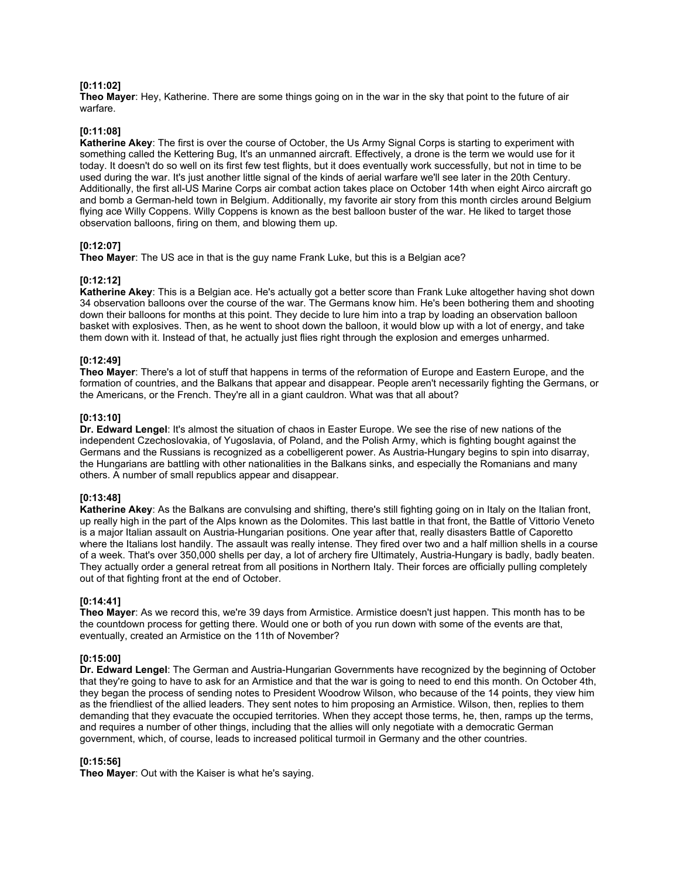#### **[0:11:02]**

**Theo Mayer**: Hey, Katherine. There are some things going on in the war in the sky that point to the future of air warfare.

#### **[0:11:08]**

**Katherine Akey**: The first is over the course of October, the Us Army Signal Corps is starting to experiment with something called the Kettering Bug, It's an unmanned aircraft. Effectively, a drone is the term we would use for it today. It doesn't do so well on its first few test flights, but it does eventually work successfully, but not in time to be used during the war. It's just another little signal of the kinds of aerial warfare we'll see later in the 20th Century. Additionally, the first all-US Marine Corps air combat action takes place on October 14th when eight Airco aircraft go and bomb a German-held town in Belgium. Additionally, my favorite air story from this month circles around Belgium flying ace Willy Coppens. Willy Coppens is known as the best balloon buster of the war. He liked to target those observation balloons, firing on them, and blowing them up.

#### **[0:12:07]**

**Theo Mayer**: The US ace in that is the guy name Frank Luke, but this is a Belgian ace?

#### **[0:12:12]**

**Katherine Akey**: This is a Belgian ace. He's actually got a better score than Frank Luke altogether having shot down 34 observation balloons over the course of the war. The Germans know him. He's been bothering them and shooting down their balloons for months at this point. They decide to lure him into a trap by loading an observation balloon basket with explosives. Then, as he went to shoot down the balloon, it would blow up with a lot of energy, and take them down with it. Instead of that, he actually just flies right through the explosion and emerges unharmed.

## **[0:12:49]**

**Theo Mayer**: There's a lot of stuff that happens in terms of the reformation of Europe and Eastern Europe, and the formation of countries, and the Balkans that appear and disappear. People aren't necessarily fighting the Germans, or the Americans, or the French. They're all in a giant cauldron. What was that all about?

#### **[0:13:10]**

**Dr. Edward Lengel**: It's almost the situation of chaos in Easter Europe. We see the rise of new nations of the independent Czechoslovakia, of Yugoslavia, of Poland, and the Polish Army, which is fighting bought against the Germans and the Russians is recognized as a cobelligerent power. As Austria-Hungary begins to spin into disarray, the Hungarians are battling with other nationalities in the Balkans sinks, and especially the Romanians and many others. A number of small republics appear and disappear.

#### **[0:13:48]**

**Katherine Akey**: As the Balkans are convulsing and shifting, there's still fighting going on in Italy on the Italian front, up really high in the part of the Alps known as the Dolomites. This last battle in that front, the Battle of Vittorio Veneto is a major Italian assault on Austria-Hungarian positions. One year after that, really disasters Battle of Caporetto where the Italians lost handily. The assault was really intense. They fired over two and a half million shells in a course of a week. That's over 350,000 shells per day, a lot of archery fire Ultimately, Austria-Hungary is badly, badly beaten. They actually order a general retreat from all positions in Northern Italy. Their forces are officially pulling completely out of that fighting front at the end of October.

#### **[0:14:41]**

**Theo Mayer**: As we record this, we're 39 days from Armistice. Armistice doesn't just happen. This month has to be the countdown process for getting there. Would one or both of you run down with some of the events are that, eventually, created an Armistice on the 11th of November?

# **[0:15:00]**

**Dr. Edward Lengel**: The German and Austria-Hungarian Governments have recognized by the beginning of October that they're going to have to ask for an Armistice and that the war is going to need to end this month. On October 4th, they began the process of sending notes to President Woodrow Wilson, who because of the 14 points, they view him as the friendliest of the allied leaders. They sent notes to him proposing an Armistice. Wilson, then, replies to them demanding that they evacuate the occupied territories. When they accept those terms, he, then, ramps up the terms, and requires a number of other things, including that the allies will only negotiate with a democratic German government, which, of course, leads to increased political turmoil in Germany and the other countries.

### **[0:15:56]**

**Theo Mayer**: Out with the Kaiser is what he's saying.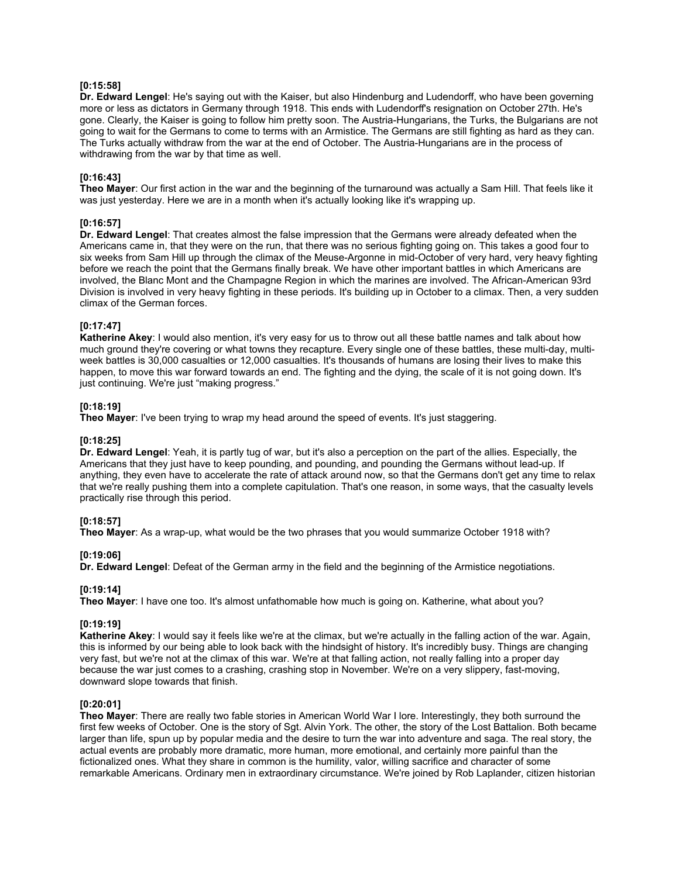### **[0:15:58]**

**Dr. Edward Lengel**: He's saying out with the Kaiser, but also Hindenburg and Ludendorff, who have been governing more or less as dictators in Germany through 1918. This ends with Ludendorff's resignation on October 27th. He's gone. Clearly, the Kaiser is going to follow him pretty soon. The Austria-Hungarians, the Turks, the Bulgarians are not going to wait for the Germans to come to terms with an Armistice. The Germans are still fighting as hard as they can. The Turks actually withdraw from the war at the end of October. The Austria-Hungarians are in the process of withdrawing from the war by that time as well.

#### **[0:16:43]**

**Theo Mayer**: Our first action in the war and the beginning of the turnaround was actually a Sam Hill. That feels like it was just yesterday. Here we are in a month when it's actually looking like it's wrapping up.

# **[0:16:57]**

**Dr. Edward Lengel**: That creates almost the false impression that the Germans were already defeated when the Americans came in, that they were on the run, that there was no serious fighting going on. This takes a good four to six weeks from Sam Hill up through the climax of the Meuse-Argonne in mid-October of very hard, very heavy fighting before we reach the point that the Germans finally break. We have other important battles in which Americans are involved, the Blanc Mont and the Champagne Region in which the marines are involved. The African-American 93rd Division is involved in very heavy fighting in these periods. It's building up in October to a climax. Then, a very sudden climax of the German forces.

#### **[0:17:47]**

**Katherine Akey**: I would also mention, it's very easy for us to throw out all these battle names and talk about how much ground they're covering or what towns they recapture. Every single one of these battles, these multi-day, multiweek battles is 30,000 casualties or 12,000 casualties. It's thousands of humans are losing their lives to make this happen, to move this war forward towards an end. The fighting and the dying, the scale of it is not going down. It's just continuing. We're just "making progress."

### **[0:18:19]**

**Theo Mayer**: I've been trying to wrap my head around the speed of events. It's just staggering.

#### **[0:18:25]**

**Dr. Edward Lengel**: Yeah, it is partly tug of war, but it's also a perception on the part of the allies. Especially, the Americans that they just have to keep pounding, and pounding, and pounding the Germans without lead-up. If anything, they even have to accelerate the rate of attack around now, so that the Germans don't get any time to relax that we're really pushing them into a complete capitulation. That's one reason, in some ways, that the casualty levels practically rise through this period.

### **[0:18:57]**

**Theo Mayer**: As a wrap-up, what would be the two phrases that you would summarize October 1918 with?

#### **[0:19:06]**

**Dr. Edward Lengel**: Defeat of the German army in the field and the beginning of the Armistice negotiations.

### **[0:19:14]**

**Theo Mayer**: I have one too. It's almost unfathomable how much is going on. Katherine, what about you?

### **[0:19:19]**

**Katherine Akey**: I would say it feels like we're at the climax, but we're actually in the falling action of the war. Again, this is informed by our being able to look back with the hindsight of history. It's incredibly busy. Things are changing very fast, but we're not at the climax of this war. We're at that falling action, not really falling into a proper day because the war just comes to a crashing, crashing stop in November. We're on a very slippery, fast-moving, downward slope towards that finish.

#### **[0:20:01]**

**Theo Mayer**: There are really two fable stories in American World War I lore. Interestingly, they both surround the first few weeks of October. One is the story of Sgt. Alvin York. The other, the story of the Lost Battalion. Both became larger than life, spun up by popular media and the desire to turn the war into adventure and saga. The real story, the actual events are probably more dramatic, more human, more emotional, and certainly more painful than the fictionalized ones. What they share in common is the humility, valor, willing sacrifice and character of some remarkable Americans. Ordinary men in extraordinary circumstance. We're joined by Rob Laplander, citizen historian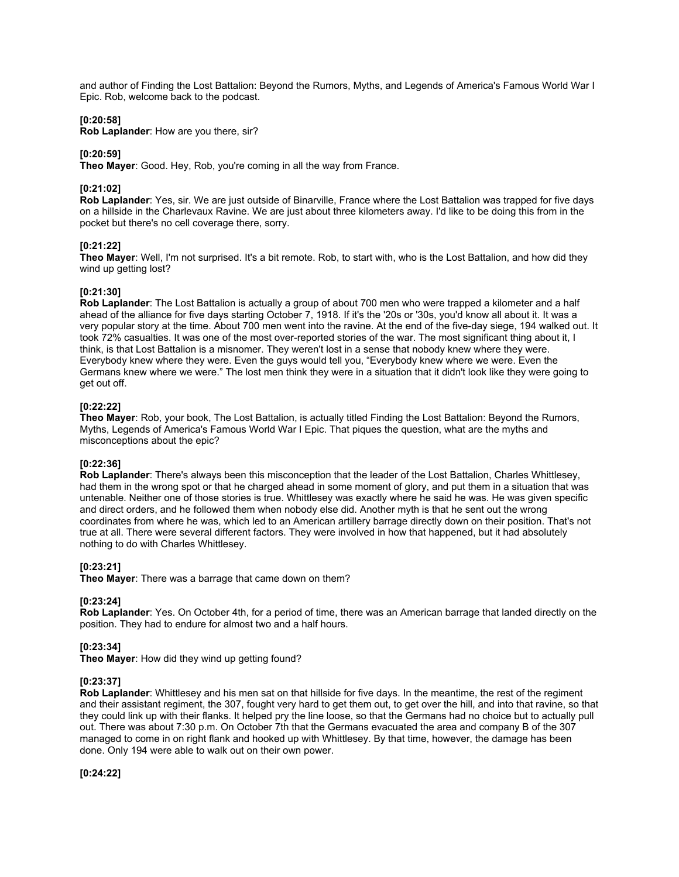and author of Finding the Lost Battalion: Beyond the Rumors, Myths, and Legends of America's Famous World War I Epic. Rob, welcome back to the podcast.

#### **[0:20:58]**

**Rob Laplander**: How are you there, sir?

#### **[0:20:59]**

**Theo Mayer**: Good. Hey, Rob, you're coming in all the way from France.

### **[0:21:02]**

**Rob Laplander**: Yes, sir. We are just outside of Binarville, France where the Lost Battalion was trapped for five days on a hillside in the Charlevaux Ravine. We are just about three kilometers away. I'd like to be doing this from in the pocket but there's no cell coverage there, sorry.

#### **[0:21:22]**

**Theo Mayer**: Well, I'm not surprised. It's a bit remote. Rob, to start with, who is the Lost Battalion, and how did they wind up getting lost?

#### **[0:21:30]**

**Rob Laplander**: The Lost Battalion is actually a group of about 700 men who were trapped a kilometer and a half ahead of the alliance for five days starting October 7, 1918. If it's the '20s or '30s, you'd know all about it. It was a very popular story at the time. About 700 men went into the ravine. At the end of the five-day siege, 194 walked out. It took 72% casualties. It was one of the most over-reported stories of the war. The most significant thing about it, I think, is that Lost Battalion is a misnomer. They weren't lost in a sense that nobody knew where they were. Everybody knew where they were. Even the guys would tell you, "Everybody knew where we were. Even the Germans knew where we were." The lost men think they were in a situation that it didn't look like they were going to get out off.

### **[0:22:22]**

**Theo Mayer**: Rob, your book, The Lost Battalion, is actually titled Finding the Lost Battalion: Beyond the Rumors, Myths, Legends of America's Famous World War I Epic. That piques the question, what are the myths and misconceptions about the epic?

#### **[0:22:36]**

**Rob Laplander**: There's always been this misconception that the leader of the Lost Battalion, Charles Whittlesey, had them in the wrong spot or that he charged ahead in some moment of glory, and put them in a situation that was untenable. Neither one of those stories is true. Whittlesey was exactly where he said he was. He was given specific and direct orders, and he followed them when nobody else did. Another myth is that he sent out the wrong coordinates from where he was, which led to an American artillery barrage directly down on their position. That's not true at all. There were several different factors. They were involved in how that happened, but it had absolutely nothing to do with Charles Whittlesey.

### **[0:23:21]**

**Theo Mayer**: There was a barrage that came down on them?

### **[0:23:24]**

**Rob Laplander**: Yes. On October 4th, for a period of time, there was an American barrage that landed directly on the position. They had to endure for almost two and a half hours.

#### **[0:23:34]**

**Theo Mayer**: How did they wind up getting found?

#### **[0:23:37]**

**Rob Laplander**: Whittlesey and his men sat on that hillside for five days. In the meantime, the rest of the regiment and their assistant regiment, the 307, fought very hard to get them out, to get over the hill, and into that ravine, so that they could link up with their flanks. It helped pry the line loose, so that the Germans had no choice but to actually pull out. There was about 7:30 p.m. On October 7th that the Germans evacuated the area and company B of the 307 managed to come in on right flank and hooked up with Whittlesey. By that time, however, the damage has been done. Only 194 were able to walk out on their own power.

**[0:24:22]**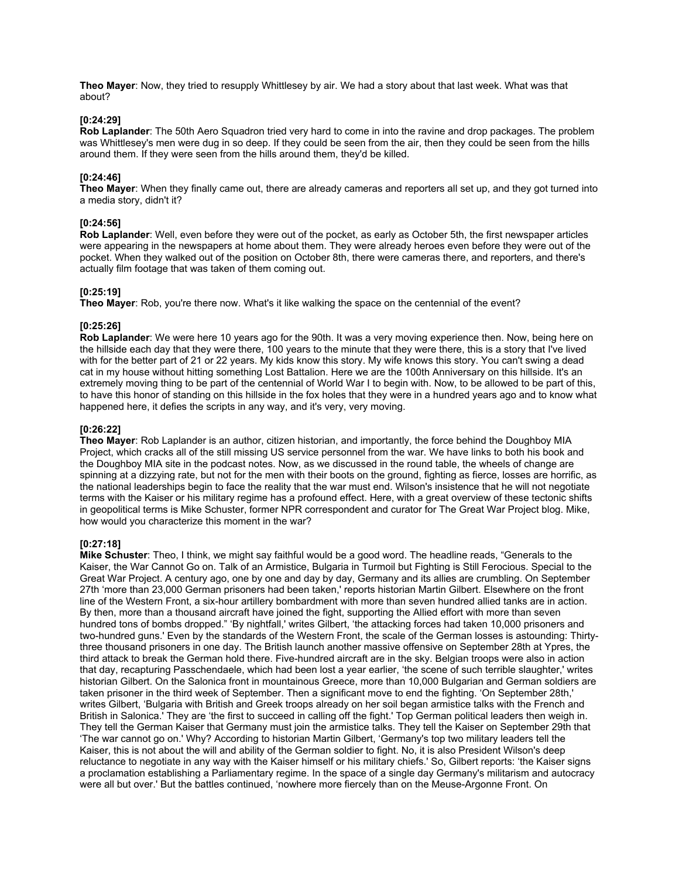**Theo Mayer**: Now, they tried to resupply Whittlesey by air. We had a story about that last week. What was that about?

### **[0:24:29]**

**Rob Laplander**: The 50th Aero Squadron tried very hard to come in into the ravine and drop packages. The problem was Whittlesey's men were dug in so deep. If they could be seen from the air, then they could be seen from the hills around them. If they were seen from the hills around them, they'd be killed.

#### **[0:24:46]**

**Theo Mayer**: When they finally came out, there are already cameras and reporters all set up, and they got turned into a media story, didn't it?

#### **[0:24:56]**

**Rob Laplander**: Well, even before they were out of the pocket, as early as October 5th, the first newspaper articles were appearing in the newspapers at home about them. They were already heroes even before they were out of the pocket. When they walked out of the position on October 8th, there were cameras there, and reporters, and there's actually film footage that was taken of them coming out.

#### **[0:25:19]**

**Theo Mayer**: Rob, you're there now. What's it like walking the space on the centennial of the event?

#### **[0:25:26]**

**Rob Laplander**: We were here 10 years ago for the 90th. It was a very moving experience then. Now, being here on the hillside each day that they were there, 100 years to the minute that they were there, this is a story that I've lived with for the better part of 21 or 22 years. My kids know this story. My wife knows this story. You can't swing a dead cat in my house without hitting something Lost Battalion. Here we are the 100th Anniversary on this hillside. It's an extremely moving thing to be part of the centennial of World War I to begin with. Now, to be allowed to be part of this, to have this honor of standing on this hillside in the fox holes that they were in a hundred years ago and to know what happened here, it defies the scripts in any way, and it's very, very moving.

# **[0:26:22]**

**Theo Mayer**: Rob Laplander is an author, citizen historian, and importantly, the force behind the Doughboy MIA Project, which cracks all of the still missing US service personnel from the war. We have links to both his book and the Doughboy MIA site in the podcast notes. Now, as we discussed in the round table, the wheels of change are spinning at a dizzying rate, but not for the men with their boots on the ground, fighting as fierce, losses are horrific, as the national leaderships begin to face the reality that the war must end. Wilson's insistence that he will not negotiate terms with the Kaiser or his military regime has a profound effect. Here, with a great overview of these tectonic shifts in geopolitical terms is Mike Schuster, former NPR correspondent and curator for The Great War Project blog. Mike, how would you characterize this moment in the war?

#### **[0:27:18]**

**Mike Schuster**: Theo, I think, we might say faithful would be a good word. The headline reads, "Generals to the Kaiser, the War Cannot Go on. Talk of an Armistice, Bulgaria in Turmoil but Fighting is Still Ferocious. Special to the Great War Project. A century ago, one by one and day by day, Germany and its allies are crumbling. On September 27th 'more than 23,000 German prisoners had been taken,' reports historian Martin Gilbert. Elsewhere on the front line of the Western Front, a six-hour artillery bombardment with more than seven hundred allied tanks are in action. By then, more than a thousand aircraft have joined the fight, supporting the Allied effort with more than seven hundred tons of bombs dropped." 'By nightfall,' writes Gilbert, 'the attacking forces had taken 10,000 prisoners and two-hundred guns.' Even by the standards of the Western Front, the scale of the German losses is astounding: Thirtythree thousand prisoners in one day. The British launch another massive offensive on September 28th at Ypres, the third attack to break the German hold there. Five-hundred aircraft are in the sky. Belgian troops were also in action that day, recapturing Passchendaele, which had been lost a year earlier, 'the scene of such terrible slaughter,' writes historian Gilbert. On the Salonica front in mountainous Greece, more than 10,000 Bulgarian and German soldiers are taken prisoner in the third week of September. Then a significant move to end the fighting. 'On September 28th,' writes Gilbert, 'Bulgaria with British and Greek troops already on her soil began armistice talks with the French and British in Salonica.' They are 'the first to succeed in calling off the fight.' Top German political leaders then weigh in. They tell the German Kaiser that Germany must join the armistice talks. They tell the Kaiser on September 29th that 'The war cannot go on.' Why? According to historian Martin Gilbert, 'Germany's top two military leaders tell the Kaiser, this is not about the will and ability of the German soldier to fight. No, it is also President Wilson's deep reluctance to negotiate in any way with the Kaiser himself or his military chiefs.' So, Gilbert reports: 'the Kaiser signs a proclamation establishing a Parliamentary regime. In the space of a single day Germany's militarism and autocracy were all but over.' But the battles continued, 'nowhere more fiercely than on the Meuse-Argonne Front. On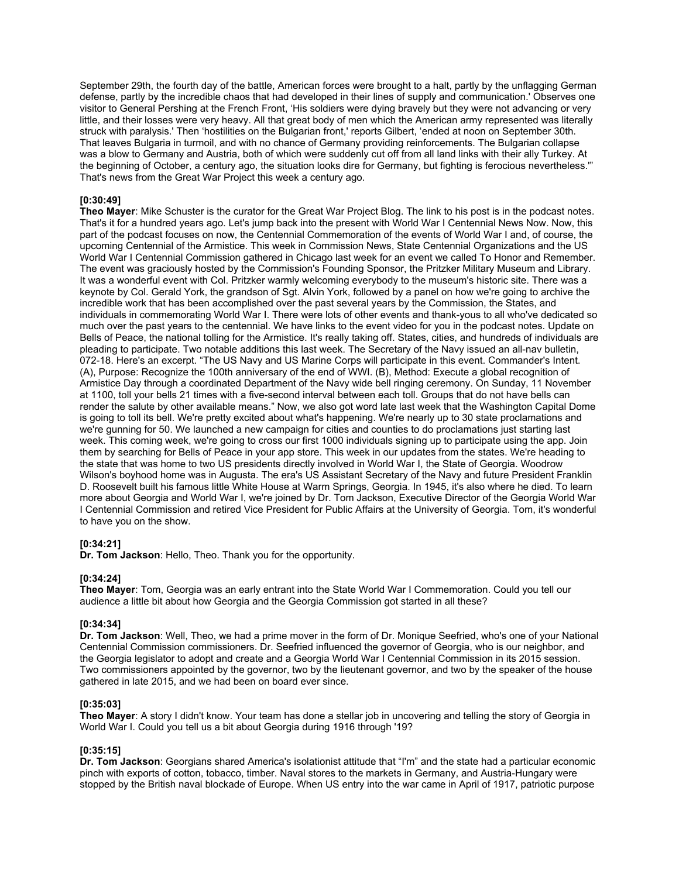September 29th, the fourth day of the battle, American forces were brought to a halt, partly by the unflagging German defense, partly by the incredible chaos that had developed in their lines of supply and communication.' Observes one visitor to General Pershing at the French Front, 'His soldiers were dying bravely but they were not advancing or very little, and their losses were very heavy. All that great body of men which the American army represented was literally struck with paralysis.' Then 'hostilities on the Bulgarian front,' reports Gilbert, 'ended at noon on September 30th. That leaves Bulgaria in turmoil, and with no chance of Germany providing reinforcements. The Bulgarian collapse was a blow to Germany and Austria, both of which were suddenly cut off from all land links with their ally Turkey. At the beginning of October, a century ago, the situation looks dire for Germany, but fighting is ferocious nevertheless.'" That's news from the Great War Project this week a century ago.

# **[0:30:49]**

**Theo Mayer**: Mike Schuster is the curator for the Great War Project Blog. The link to his post is in the podcast notes. That's it for a hundred years ago. Let's jump back into the present with World War I Centennial News Now. Now, this part of the podcast focuses on now, the Centennial Commemoration of the events of World War I and, of course, the upcoming Centennial of the Armistice. This week in Commission News, State Centennial Organizations and the US World War I Centennial Commission gathered in Chicago last week for an event we called To Honor and Remember. The event was graciously hosted by the Commission's Founding Sponsor, the Pritzker Military Museum and Library. It was a wonderful event with Col. Pritzker warmly welcoming everybody to the museum's historic site. There was a keynote by Col. Gerald York, the grandson of Sgt. Alvin York, followed by a panel on how we're going to archive the incredible work that has been accomplished over the past several years by the Commission, the States, and individuals in commemorating World War I. There were lots of other events and thank-yous to all who've dedicated so much over the past years to the centennial. We have links to the event video for you in the podcast notes. Update on Bells of Peace, the national tolling for the Armistice. It's really taking off. States, cities, and hundreds of individuals are pleading to participate. Two notable additions this last week. The Secretary of the Navy issued an all-nav bulletin, 072-18. Here's an excerpt. "The US Navy and US Marine Corps will participate in this event. Commander's Intent. (A), Purpose: Recognize the 100th anniversary of the end of WWI. (B), Method: Execute a global recognition of Armistice Day through a coordinated Department of the Navy wide bell ringing ceremony. On Sunday, 11 November at 1100, toll your bells 21 times with a five-second interval between each toll. Groups that do not have bells can render the salute by other available means." Now, we also got word late last week that the Washington Capital Dome is going to toll its bell. We're pretty excited about what's happening. We're nearly up to 30 state proclamations and we're gunning for 50. We launched a new campaign for cities and counties to do proclamations just starting last week. This coming week, we're going to cross our first 1000 individuals signing up to participate using the app. Join them by searching for Bells of Peace in your app store. This week in our updates from the states. We're heading to the state that was home to two US presidents directly involved in World War I, the State of Georgia. Woodrow Wilson's boyhood home was in Augusta. The era's US Assistant Secretary of the Navy and future President Franklin D. Roosevelt built his famous little White House at Warm Springs, Georgia. In 1945, it's also where he died. To learn more about Georgia and World War I, we're joined by Dr. Tom Jackson, Executive Director of the Georgia World War I Centennial Commission and retired Vice President for Public Affairs at the University of Georgia. Tom, it's wonderful to have you on the show.

### **[0:34:21]**

**Dr. Tom Jackson**: Hello, Theo. Thank you for the opportunity.

### **[0:34:24]**

**Theo Mayer**: Tom, Georgia was an early entrant into the State World War I Commemoration. Could you tell our audience a little bit about how Georgia and the Georgia Commission got started in all these?

### **[0:34:34]**

**Dr. Tom Jackson**: Well, Theo, we had a prime mover in the form of Dr. Monique Seefried, who's one of your National Centennial Commission commissioners. Dr. Seefried influenced the governor of Georgia, who is our neighbor, and the Georgia legislator to adopt and create and a Georgia World War I Centennial Commission in its 2015 session. Two commissioners appointed by the governor, two by the lieutenant governor, and two by the speaker of the house gathered in late 2015, and we had been on board ever since.

#### **[0:35:03]**

**Theo Mayer**: A story I didn't know. Your team has done a stellar job in uncovering and telling the story of Georgia in World War I. Could you tell us a bit about Georgia during 1916 through '19?

#### **[0:35:15]**

**Dr. Tom Jackson**: Georgians shared America's isolationist attitude that "I'm" and the state had a particular economic pinch with exports of cotton, tobacco, timber. Naval stores to the markets in Germany, and Austria-Hungary were stopped by the British naval blockade of Europe. When US entry into the war came in April of 1917, patriotic purpose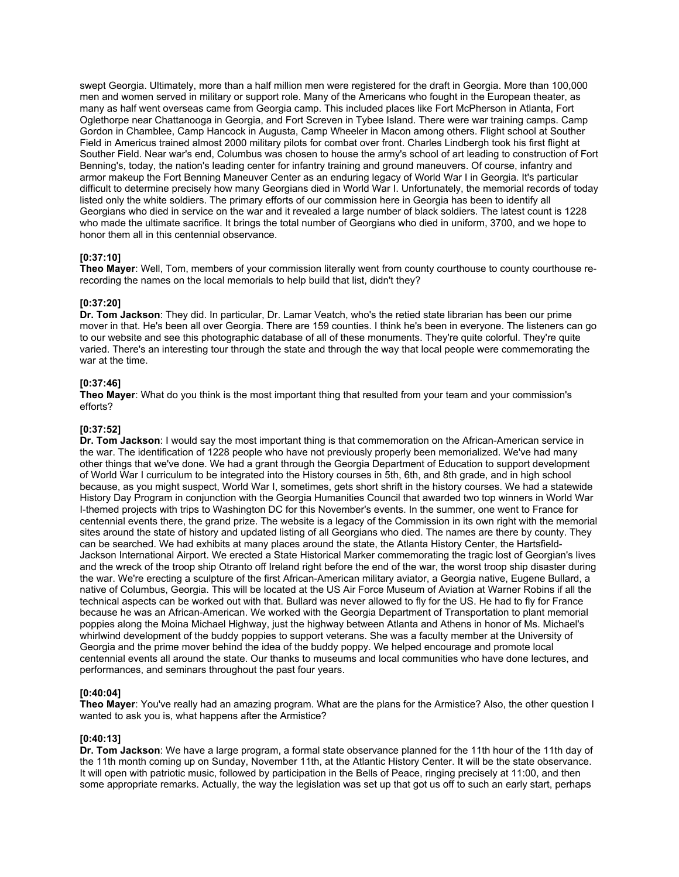swept Georgia. Ultimately, more than a half million men were registered for the draft in Georgia. More than 100,000 men and women served in military or support role. Many of the Americans who fought in the European theater, as many as half went overseas came from Georgia camp. This included places like Fort McPherson in Atlanta, Fort Oglethorpe near Chattanooga in Georgia, and Fort Screven in Tybee Island. There were war training camps. Camp Gordon in Chamblee, Camp Hancock in Augusta, Camp Wheeler in Macon among others. Flight school at Souther Field in Americus trained almost 2000 military pilots for combat over front. Charles Lindbergh took his first flight at Souther Field. Near war's end, Columbus was chosen to house the army's school of art leading to construction of Fort Benning's, today, the nation's leading center for infantry training and ground maneuvers. Of course, infantry and armor makeup the Fort Benning Maneuver Center as an enduring legacy of World War I in Georgia. It's particular difficult to determine precisely how many Georgians died in World War I. Unfortunately, the memorial records of today listed only the white soldiers. The primary efforts of our commission here in Georgia has been to identify all Georgians who died in service on the war and it revealed a large number of black soldiers. The latest count is 1228 who made the ultimate sacrifice. It brings the total number of Georgians who died in uniform, 3700, and we hope to honor them all in this centennial observance.

# **[0:37:10]**

**Theo Mayer**: Well, Tom, members of your commission literally went from county courthouse to county courthouse rerecording the names on the local memorials to help build that list, didn't they?

### **[0:37:20]**

**Dr. Tom Jackson**: They did. In particular, Dr. Lamar Veatch, who's the retied state librarian has been our prime mover in that. He's been all over Georgia. There are 159 counties. I think he's been in everyone. The listeners can go to our website and see this photographic database of all of these monuments. They're quite colorful. They're quite varied. There's an interesting tour through the state and through the way that local people were commemorating the war at the time.

### **[0:37:46]**

**Theo Mayer**: What do you think is the most important thing that resulted from your team and your commission's efforts?

# **[0:37:52]**

**Dr. Tom Jackson**: I would say the most important thing is that commemoration on the African-American service in the war. The identification of 1228 people who have not previously properly been memorialized. We've had many other things that we've done. We had a grant through the Georgia Department of Education to support development of World War I curriculum to be integrated into the History courses in 5th, 6th, and 8th grade, and in high school because, as you might suspect, World War I, sometimes, gets short shrift in the history courses. We had a statewide History Day Program in conjunction with the Georgia Humanities Council that awarded two top winners in World War I-themed projects with trips to Washington DC for this November's events. In the summer, one went to France for centennial events there, the grand prize. The website is a legacy of the Commission in its own right with the memorial sites around the state of history and updated listing of all Georgians who died. The names are there by county. They can be searched. We had exhibits at many places around the state, the Atlanta History Center, the Hartsfield-Jackson International Airport. We erected a State Historical Marker commemorating the tragic lost of Georgian's lives and the wreck of the troop ship Otranto off Ireland right before the end of the war, the worst troop ship disaster during the war. We're erecting a sculpture of the first African-American military aviator, a Georgia native, Eugene Bullard, a native of Columbus, Georgia. This will be located at the US Air Force Museum of Aviation at Warner Robins if all the technical aspects can be worked out with that. Bullard was never allowed to fly for the US. He had to fly for France because he was an African-American. We worked with the Georgia Department of Transportation to plant memorial poppies along the Moina Michael Highway, just the highway between Atlanta and Athens in honor of Ms. Michael's whirlwind development of the buddy poppies to support veterans. She was a faculty member at the University of Georgia and the prime mover behind the idea of the buddy poppy. We helped encourage and promote local centennial events all around the state. Our thanks to museums and local communities who have done lectures, and performances, and seminars throughout the past four years.

### **[0:40:04]**

**Theo Mayer**: You've really had an amazing program. What are the plans for the Armistice? Also, the other question I wanted to ask you is, what happens after the Armistice?

### **[0:40:13]**

**Dr. Tom Jackson**: We have a large program, a formal state observance planned for the 11th hour of the 11th day of the 11th month coming up on Sunday, November 11th, at the Atlantic History Center. It will be the state observance. It will open with patriotic music, followed by participation in the Bells of Peace, ringing precisely at 11:00, and then some appropriate remarks. Actually, the way the legislation was set up that got us off to such an early start, perhaps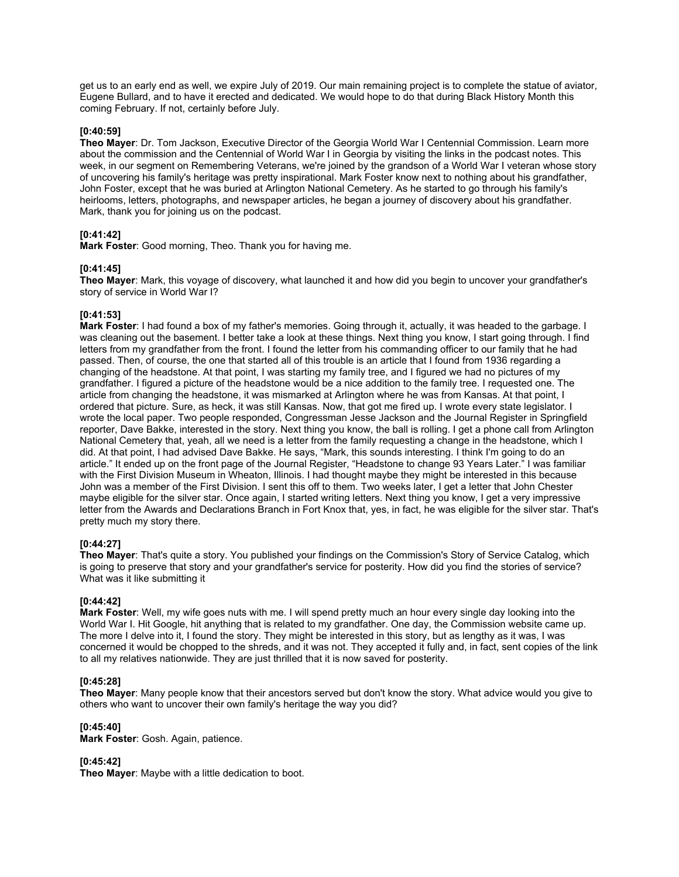get us to an early end as well, we expire July of 2019. Our main remaining project is to complete the statue of aviator, Eugene Bullard, and to have it erected and dedicated. We would hope to do that during Black History Month this coming February. If not, certainly before July.

# **[0:40:59]**

**Theo Mayer**: Dr. Tom Jackson, Executive Director of the Georgia World War I Centennial Commission. Learn more about the commission and the Centennial of World War I in Georgia by visiting the links in the podcast notes. This week, in our segment on Remembering Veterans, we're joined by the grandson of a World War I veteran whose story of uncovering his family's heritage was pretty inspirational. Mark Foster know next to nothing about his grandfather, John Foster, except that he was buried at Arlington National Cemetery. As he started to go through his family's heirlooms, letters, photographs, and newspaper articles, he began a journey of discovery about his grandfather. Mark, thank you for joining us on the podcast.

# **[0:41:42]**

**Mark Foster**: Good morning, Theo. Thank you for having me.

# **[0:41:45]**

**Theo Mayer**: Mark, this voyage of discovery, what launched it and how did you begin to uncover your grandfather's story of service in World War I?

# **[0:41:53]**

**Mark Foster**: I had found a box of my father's memories. Going through it, actually, it was headed to the garbage. I was cleaning out the basement. I better take a look at these things. Next thing you know, I start going through. I find letters from my grandfather from the front. I found the letter from his commanding officer to our family that he had passed. Then, of course, the one that started all of this trouble is an article that I found from 1936 regarding a changing of the headstone. At that point, I was starting my family tree, and I figured we had no pictures of my grandfather. I figured a picture of the headstone would be a nice addition to the family tree. I requested one. The article from changing the headstone, it was mismarked at Arlington where he was from Kansas. At that point, I ordered that picture. Sure, as heck, it was still Kansas. Now, that got me fired up. I wrote every state legislator. I wrote the local paper. Two people responded, Congressman Jesse Jackson and the Journal Register in Springfield reporter, Dave Bakke, interested in the story. Next thing you know, the ball is rolling. I get a phone call from Arlington National Cemetery that, yeah, all we need is a letter from the family requesting a change in the headstone, which I did. At that point, I had advised Dave Bakke. He says, "Mark, this sounds interesting. I think I'm going to do an article." It ended up on the front page of the Journal Register, "Headstone to change 93 Years Later." I was familiar with the First Division Museum in Wheaton, Illinois. I had thought maybe they might be interested in this because John was a member of the First Division. I sent this off to them. Two weeks later, I get a letter that John Chester maybe eligible for the silver star. Once again, I started writing letters. Next thing you know, I get a very impressive letter from the Awards and Declarations Branch in Fort Knox that, yes, in fact, he was eligible for the silver star. That's pretty much my story there.

# **[0:44:27]**

**Theo Mayer**: That's quite a story. You published your findings on the Commission's Story of Service Catalog, which is going to preserve that story and your grandfather's service for posterity. How did you find the stories of service? What was it like submitting it

### **[0:44:42]**

**Mark Foster**: Well, my wife goes nuts with me. I will spend pretty much an hour every single day looking into the World War I. Hit Google, hit anything that is related to my grandfather. One day, the Commission website came up. The more I delve into it, I found the story. They might be interested in this story, but as lengthy as it was, I was concerned it would be chopped to the shreds, and it was not. They accepted it fully and, in fact, sent copies of the link to all my relatives nationwide. They are just thrilled that it is now saved for posterity.

# **[0:45:28]**

**Theo Mayer**: Many people know that their ancestors served but don't know the story. What advice would you give to others who want to uncover their own family's heritage the way you did?

### **[0:45:40]**

**Mark Foster**: Gosh. Again, patience.

### **[0:45:42]**

**Theo Mayer**: Maybe with a little dedication to boot.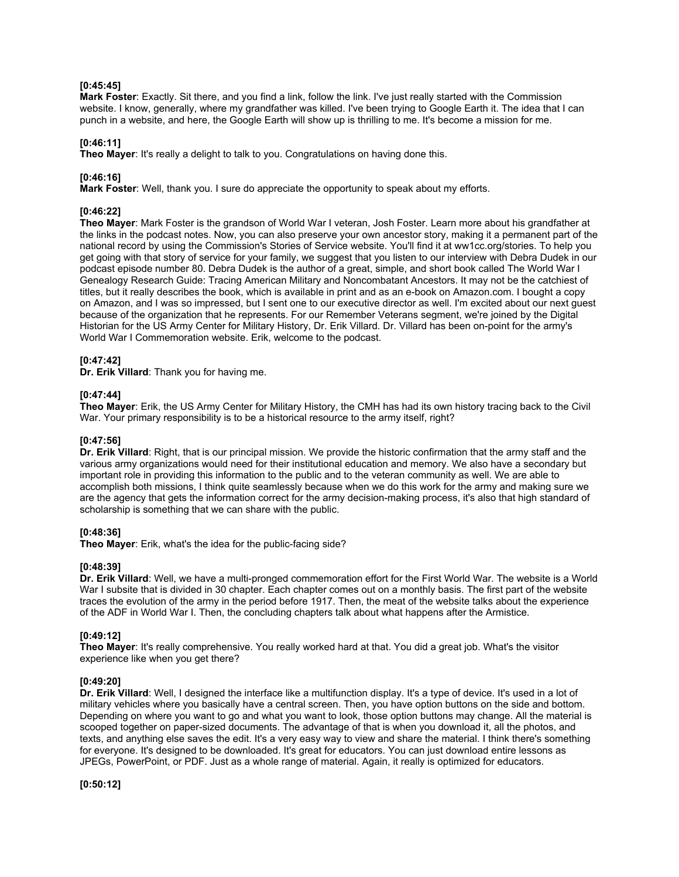## **[0:45:45]**

**Mark Foster**: Exactly. Sit there, and you find a link, follow the link. I've just really started with the Commission website. I know, generally, where my grandfather was killed. I've been trying to Google Earth it. The idea that I can punch in a website, and here, the Google Earth will show up is thrilling to me. It's become a mission for me.

## **[0:46:11]**

**Theo Mayer**: It's really a delight to talk to you. Congratulations on having done this.

# **[0:46:16]**

**Mark Foster**: Well, thank you. I sure do appreciate the opportunity to speak about my efforts.

## **[0:46:22]**

**Theo Mayer**: Mark Foster is the grandson of World War I veteran, Josh Foster. Learn more about his grandfather at the links in the podcast notes. Now, you can also preserve your own ancestor story, making it a permanent part of the national record by using the Commission's Stories of Service website. You'll find it at ww1cc.org/stories. To help you get going with that story of service for your family, we suggest that you listen to our interview with Debra Dudek in our podcast episode number 80. Debra Dudek is the author of a great, simple, and short book called The World War I Genealogy Research Guide: Tracing American Military and Noncombatant Ancestors. It may not be the catchiest of titles, but it really describes the book, which is available in print and as an e-book on Amazon.com. I bought a copy on Amazon, and I was so impressed, but I sent one to our executive director as well. I'm excited about our next guest because of the organization that he represents. For our Remember Veterans segment, we're joined by the Digital Historian for the US Army Center for Military History, Dr. Erik Villard. Dr. Villard has been on-point for the army's World War I Commemoration website. Erik, welcome to the podcast.

### **[0:47:42]**

**Dr. Erik Villard**: Thank you for having me.

### **[0:47:44]**

**Theo Mayer**: Erik, the US Army Center for Military History, the CMH has had its own history tracing back to the Civil War. Your primary responsibility is to be a historical resource to the army itself, right?

### **[0:47:56]**

**Dr. Erik Villard**: Right, that is our principal mission. We provide the historic confirmation that the army staff and the various army organizations would need for their institutional education and memory. We also have a secondary but important role in providing this information to the public and to the veteran community as well. We are able to accomplish both missions, I think quite seamlessly because when we do this work for the army and making sure we are the agency that gets the information correct for the army decision-making process, it's also that high standard of scholarship is something that we can share with the public.

### **[0:48:36]**

**Theo Mayer**: Erik, what's the idea for the public-facing side?

### **[0:48:39]**

**Dr. Erik Villard**: Well, we have a multi-pronged commemoration effort for the First World War. The website is a World War I subsite that is divided in 30 chapter. Each chapter comes out on a monthly basis. The first part of the website traces the evolution of the army in the period before 1917. Then, the meat of the website talks about the experience of the ADF in World War I. Then, the concluding chapters talk about what happens after the Armistice.

### **[0:49:12]**

**Theo Mayer**: It's really comprehensive. You really worked hard at that. You did a great job. What's the visitor experience like when you get there?

## **[0:49:20]**

**Dr. Erik Villard**: Well, I designed the interface like a multifunction display. It's a type of device. It's used in a lot of military vehicles where you basically have a central screen. Then, you have option buttons on the side and bottom. Depending on where you want to go and what you want to look, those option buttons may change. All the material is scooped together on paper-sized documents. The advantage of that is when you download it, all the photos, and texts, and anything else saves the edit. It's a very easy way to view and share the material. I think there's something for everyone. It's designed to be downloaded. It's great for educators. You can just download entire lessons as JPEGs, PowerPoint, or PDF. Just as a whole range of material. Again, it really is optimized for educators.

**[0:50:12]**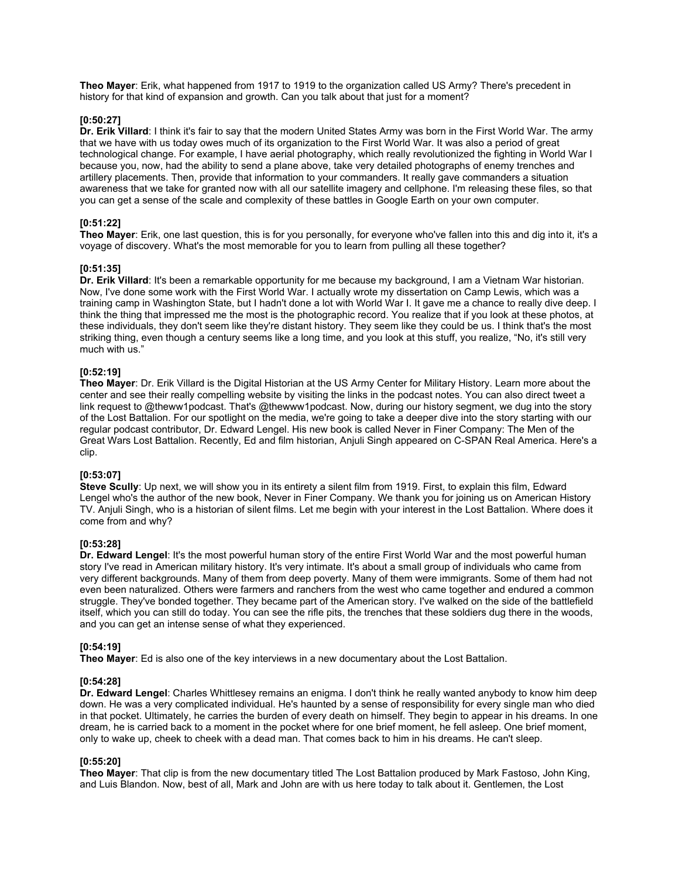**Theo Mayer**: Erik, what happened from 1917 to 1919 to the organization called US Army? There's precedent in history for that kind of expansion and growth. Can you talk about that just for a moment?

### **[0:50:27]**

**Dr. Erik Villard**: I think it's fair to say that the modern United States Army was born in the First World War. The army that we have with us today owes much of its organization to the First World War. It was also a period of great technological change. For example, I have aerial photography, which really revolutionized the fighting in World War I because you, now, had the ability to send a plane above, take very detailed photographs of enemy trenches and artillery placements. Then, provide that information to your commanders. It really gave commanders a situation awareness that we take for granted now with all our satellite imagery and cellphone. I'm releasing these files, so that you can get a sense of the scale and complexity of these battles in Google Earth on your own computer.

## **[0:51:22]**

**Theo Mayer**: Erik, one last question, this is for you personally, for everyone who've fallen into this and dig into it, it's a voyage of discovery. What's the most memorable for you to learn from pulling all these together?

#### **[0:51:35]**

**Dr. Erik Villard**: It's been a remarkable opportunity for me because my background, I am a Vietnam War historian. Now, I've done some work with the First World War. I actually wrote my dissertation on Camp Lewis, which was a training camp in Washington State, but I hadn't done a lot with World War I. It gave me a chance to really dive deep. I think the thing that impressed me the most is the photographic record. You realize that if you look at these photos, at these individuals, they don't seem like they're distant history. They seem like they could be us. I think that's the most striking thing, even though a century seems like a long time, and you look at this stuff, you realize, "No, it's still very much with us."

# **[0:52:19]**

**Theo Mayer**: Dr. Erik Villard is the Digital Historian at the US Army Center for Military History. Learn more about the center and see their really compelling website by visiting the links in the podcast notes. You can also direct tweet a link request to @theww1podcast. That's @thewww1podcast. Now, during our history segment, we dug into the story of the Lost Battalion. For our spotlight on the media, we're going to take a deeper dive into the story starting with our regular podcast contributor, Dr. Edward Lengel. His new book is called Never in Finer Company: The Men of the Great Wars Lost Battalion. Recently, Ed and film historian, Anjuli Singh appeared on C-SPAN Real America. Here's a clip.

# **[0:53:07]**

**Steve Scully**: Up next, we will show you in its entirety a silent film from 1919. First, to explain this film, Edward Lengel who's the author of the new book, Never in Finer Company. We thank you for joining us on American History TV. Anjuli Singh, who is a historian of silent films. Let me begin with your interest in the Lost Battalion. Where does it come from and why?

#### **[0:53:28]**

**Dr. Edward Lengel**: It's the most powerful human story of the entire First World War and the most powerful human story I've read in American military history. It's very intimate. It's about a small group of individuals who came from very different backgrounds. Many of them from deep poverty. Many of them were immigrants. Some of them had not even been naturalized. Others were farmers and ranchers from the west who came together and endured a common struggle. They've bonded together. They became part of the American story. I've walked on the side of the battlefield itself, which you can still do today. You can see the rifle pits, the trenches that these soldiers dug there in the woods, and you can get an intense sense of what they experienced.

#### **[0:54:19]**

**Theo Mayer**: Ed is also one of the key interviews in a new documentary about the Lost Battalion.

#### **[0:54:28]**

**Dr. Edward Lengel**: Charles Whittlesey remains an enigma. I don't think he really wanted anybody to know him deep down. He was a very complicated individual. He's haunted by a sense of responsibility for every single man who died in that pocket. Ultimately, he carries the burden of every death on himself. They begin to appear in his dreams. In one dream, he is carried back to a moment in the pocket where for one brief moment, he fell asleep. One brief moment, only to wake up, cheek to cheek with a dead man. That comes back to him in his dreams. He can't sleep.

### **[0:55:20]**

**Theo Mayer**: That clip is from the new documentary titled The Lost Battalion produced by Mark Fastoso, John King, and Luis Blandon. Now, best of all, Mark and John are with us here today to talk about it. Gentlemen, the Lost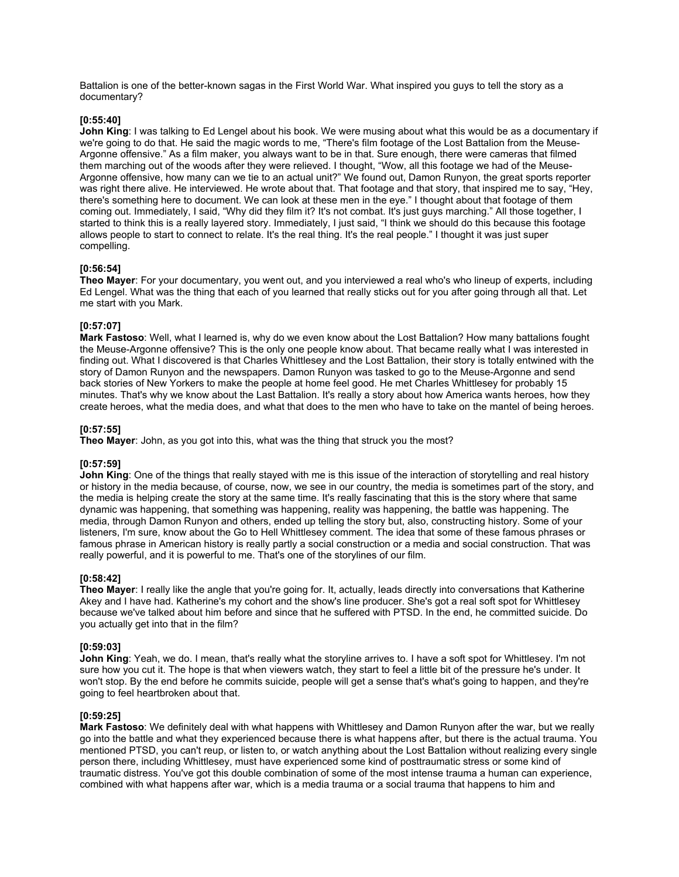Battalion is one of the better-known sagas in the First World War. What inspired you guys to tell the story as a documentary?

### **[0:55:40]**

**John King**: I was talking to Ed Lengel about his book. We were musing about what this would be as a documentary if we're going to do that. He said the magic words to me, "There's film footage of the Lost Battalion from the Meuse-Argonne offensive." As a film maker, you always want to be in that. Sure enough, there were cameras that filmed them marching out of the woods after they were relieved. I thought, "Wow, all this footage we had of the Meuse-Argonne offensive, how many can we tie to an actual unit?" We found out, Damon Runyon, the great sports reporter was right there alive. He interviewed. He wrote about that. That footage and that story, that inspired me to say, "Hey, there's something here to document. We can look at these men in the eye." I thought about that footage of them coming out. Immediately, I said, "Why did they film it? It's not combat. It's just guys marching." All those together, I started to think this is a really layered story. Immediately, I just said, "I think we should do this because this footage allows people to start to connect to relate. It's the real thing. It's the real people." I thought it was just super compelling.

### **[0:56:54]**

**Theo Mayer**: For your documentary, you went out, and you interviewed a real who's who lineup of experts, including Ed Lengel. What was the thing that each of you learned that really sticks out for you after going through all that. Let me start with you Mark.

# **[0:57:07]**

**Mark Fastoso**: Well, what I learned is, why do we even know about the Lost Battalion? How many battalions fought the Meuse-Argonne offensive? This is the only one people know about. That became really what I was interested in finding out. What I discovered is that Charles Whittlesey and the Lost Battalion, their story is totally entwined with the story of Damon Runyon and the newspapers. Damon Runyon was tasked to go to the Meuse-Argonne and send back stories of New Yorkers to make the people at home feel good. He met Charles Whittlesey for probably 15 minutes. That's why we know about the Last Battalion. It's really a story about how America wants heroes, how they create heroes, what the media does, and what that does to the men who have to take on the mantel of being heroes.

# **[0:57:55]**

**Theo Mayer**: John, as you got into this, what was the thing that struck you the most?

### **[0:57:59]**

**John King**: One of the things that really stayed with me is this issue of the interaction of storytelling and real history or history in the media because, of course, now, we see in our country, the media is sometimes part of the story, and the media is helping create the story at the same time. It's really fascinating that this is the story where that same dynamic was happening, that something was happening, reality was happening, the battle was happening. The media, through Damon Runyon and others, ended up telling the story but, also, constructing history. Some of your listeners, I'm sure, know about the Go to Hell Whittlesey comment. The idea that some of these famous phrases or famous phrase in American history is really partly a social construction or a media and social construction. That was really powerful, and it is powerful to me. That's one of the storylines of our film.

### **[0:58:42]**

**Theo Mayer**: I really like the angle that you're going for. It, actually, leads directly into conversations that Katherine Akey and I have had. Katherine's my cohort and the show's line producer. She's got a real soft spot for Whittlesey because we've talked about him before and since that he suffered with PTSD. In the end, he committed suicide. Do you actually get into that in the film?

### **[0:59:03]**

**John King**: Yeah, we do. I mean, that's really what the storyline arrives to. I have a soft spot for Whittlesey. I'm not sure how you cut it. The hope is that when viewers watch, they start to feel a little bit of the pressure he's under. It won't stop. By the end before he commits suicide, people will get a sense that's what's going to happen, and they're going to feel heartbroken about that.

### **[0:59:25]**

**Mark Fastoso**: We definitely deal with what happens with Whittlesey and Damon Runyon after the war, but we really go into the battle and what they experienced because there is what happens after, but there is the actual trauma. You mentioned PTSD, you can't reup, or listen to, or watch anything about the Lost Battalion without realizing every single person there, including Whittlesey, must have experienced some kind of posttraumatic stress or some kind of traumatic distress. You've got this double combination of some of the most intense trauma a human can experience, combined with what happens after war, which is a media trauma or a social trauma that happens to him and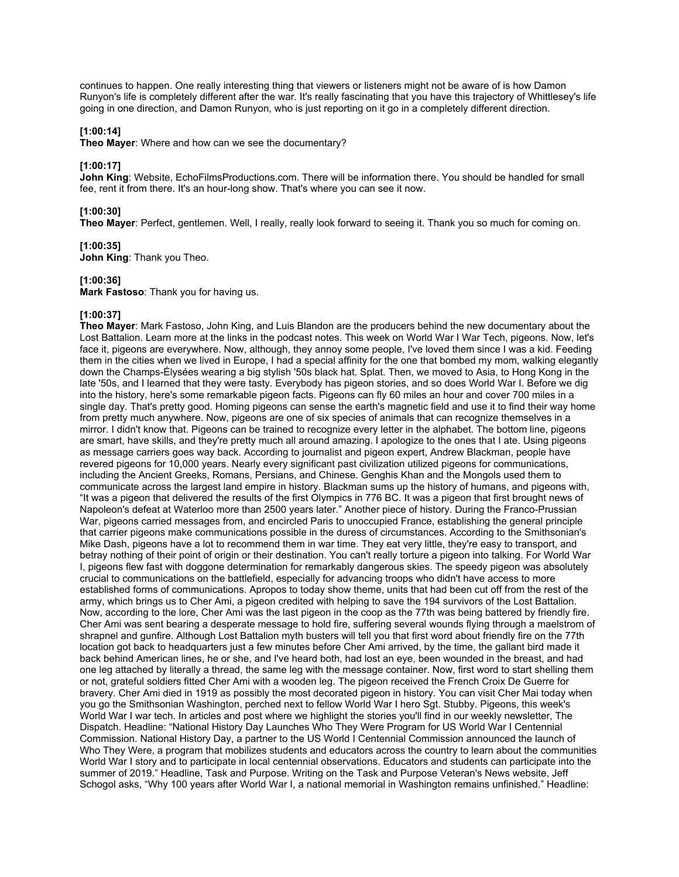continues to happen. One really interesting thing that viewers or listeners might not be aware of is how Damon Runyon's life is completely different after the war. It's really fascinating that you have this trajectory of Whittlesey's life going in one direction, and Damon Runyon, who is just reporting on it go in a completely different direction.

# **[1:00:14]**

**Theo Mayer**: Where and how can we see the documentary?

# **[1:00:17]**

**John King**: Website, EchoFilmsProductions.com. There will be information there. You should be handled for small fee, rent it from there. It's an hour-long show. That's where you can see it now.

# **[1:00:30]**

**Theo Mayer**: Perfect, gentlemen. Well, I really, really look forward to seeing it. Thank you so much for coming on.

### **[1:00:35]**

**John King**: Thank you Theo.

# **[1:00:36]**

**Mark Fastoso**: Thank you for having us.

# **[1:00:37]**

**Theo Mayer**: Mark Fastoso, John King, and Luis Blandon are the producers behind the new documentary about the Lost Battalion. Learn more at the links in the podcast notes. This week on World War I War Tech, pigeons. Now, let's face it, pigeons are everywhere. Now, although, they annoy some people, I've loved them since I was a kid. Feeding them in the cities when we lived in Europe, I had a special affinity for the one that bombed my mom, walking elegantly down the Champs-Élysées wearing a big stylish '50s black hat. Splat. Then, we moved to Asia, to Hong Kong in the late '50s, and I learned that they were tasty. Everybody has pigeon stories, and so does World War I. Before we dig into the history, here's some remarkable pigeon facts. Pigeons can fly 60 miles an hour and cover 700 miles in a single day. That's pretty good. Homing pigeons can sense the earth's magnetic field and use it to find their way home from pretty much anywhere. Now, pigeons are one of six species of animals that can recognize themselves in a mirror. I didn't know that. Pigeons can be trained to recognize every letter in the alphabet. The bottom line, pigeons are smart, have skills, and they're pretty much all around amazing. I apologize to the ones that I ate. Using pigeons as message carriers goes way back. According to journalist and pigeon expert, Andrew Blackman, people have revered pigeons for 10,000 years. Nearly every significant past civilization utilized pigeons for communications, including the Ancient Greeks, Romans, Persians, and Chinese. Genghis Khan and the Mongols used them to communicate across the largest land empire in history. Blackman sums up the history of humans, and pigeons with, "It was a pigeon that delivered the results of the first Olympics in 776 BC. It was a pigeon that first brought news of Napoleon's defeat at Waterloo more than 2500 years later." Another piece of history. During the Franco-Prussian War, pigeons carried messages from, and encircled Paris to unoccupied France, establishing the general principle that carrier pigeons make communications possible in the duress of circumstances. According to the Smithsonian's Mike Dash, pigeons have a lot to recommend them in war time. They eat very little, they're easy to transport, and betray nothing of their point of origin or their destination. You can't really torture a pigeon into talking. For World War I, pigeons flew fast with doggone determination for remarkably dangerous skies. The speedy pigeon was absolutely crucial to communications on the battlefield, especially for advancing troops who didn't have access to more established forms of communications. Apropos to today show theme, units that had been cut off from the rest of the army, which brings us to Cher Ami, a pigeon credited with helping to save the 194 survivors of the Lost Battalion. Now, according to the lore, Cher Ami was the last pigeon in the coop as the 77th was being battered by friendly fire. Cher Ami was sent bearing a desperate message to hold fire, suffering several wounds flying through a maelstrom of shrapnel and gunfire. Although Lost Battalion myth busters will tell you that first word about friendly fire on the 77th location got back to headquarters just a few minutes before Cher Ami arrived, by the time, the gallant bird made it back behind American lines, he or she, and I've heard both, had lost an eye, been wounded in the breast, and had one leg attached by literally a thread, the same leg with the message container. Now, first word to start shelling them or not, grateful soldiers fitted Cher Ami with a wooden leg. The pigeon received the French Croix De Guerre for bravery. Cher Ami died in 1919 as possibly the most decorated pigeon in history. You can visit Cher Mai today when you go the Smithsonian Washington, perched next to fellow World War I hero Sgt. Stubby. Pigeons, this week's World War I war tech. In articles and post where we highlight the stories you'll find in our weekly newsletter, The Dispatch. Headline: "National History Day Launches Who They Were Program for US World War I Centennial Commission. National History Day, a partner to the US World I Centennial Commission announced the launch of Who They Were, a program that mobilizes students and educators across the country to learn about the communities World War I story and to participate in local centennial observations. Educators and students can participate into the summer of 2019." Headline, Task and Purpose. Writing on the Task and Purpose Veteran's News website, Jeff Schogol asks, "Why 100 years after World War I, a national memorial in Washington remains unfinished." Headline: